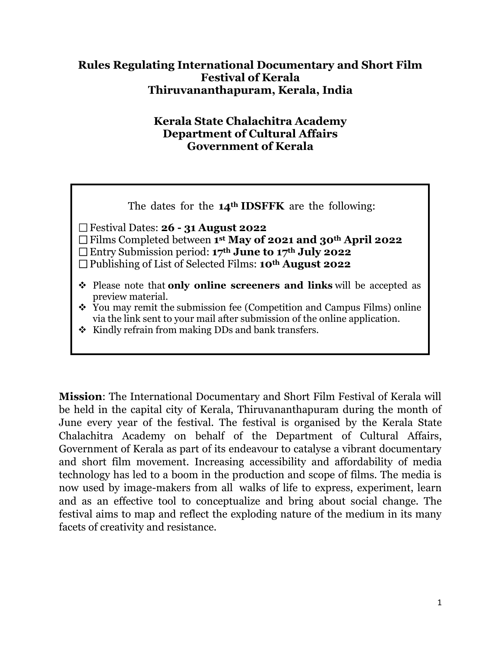#### **Rules Regulating International Documentary and Short Film Festival of Kerala Thiruvananthapuram, Kerala, India**

#### **Kerala State Chalachitra Academy Department of Cultural Affairs Government of Kerala**

| The dates for the $14th$ IDSFFK are the following:                                                                                                                                                                                                                                                                  |
|---------------------------------------------------------------------------------------------------------------------------------------------------------------------------------------------------------------------------------------------------------------------------------------------------------------------|
| $\Box$ Festival Dates: <b>26 - 31 August 2022</b><br>$\Box$ Films Completed between 1 <sup>st</sup> May of 2021 and 30 <sup>th</sup> April 2022<br>$\Box$ Entry Submission period: 17 <sup>th</sup> June to 17 <sup>th</sup> July 2022<br>$\Box$ Publishing of List of Selected Films: 10 <sup>th</sup> August 2022 |
| • Please note that only online screeners and links will be accepted as<br>preview material.<br>❖ You may remit the submission fee (Competition and Campus Films) online<br>via the link sent to your mail after submission of the online application.<br>$\div$ Kindly refrain from making DDs and bank transfers.  |

**Mission**: The International Documentary and Short Film Festival of Kerala will be held in the capital city of Kerala, Thiruvananthapuram during the month of June every year of the festival. The festival is organised by the Kerala State Chalachitra Academy on behalf of the Department of Cultural Affairs, Government of Kerala as part of its endeavour to catalyse a vibrant documentary and short film movement. Increasing accessibility and affordability of media technology has led to a boom in the production and scope of films. The media is now used by image-makers from all walks of life to express, experiment, learn and as an effective tool to conceptualize and bring about social change. The festival aims to map and reflect the exploding nature of the medium in its many facets of creativity and resistance.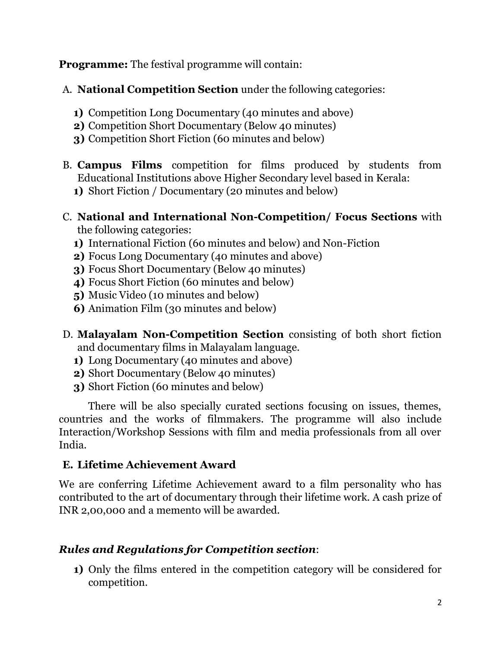**Programme:** The festival programme will contain:

A. **National Competition Section** under the following categories:

- **1)** Competition Long Documentary (40 minutes and above)
- **2)** Competition Short Documentary (Below 40 minutes)
- **3)** Competition Short Fiction (60 minutes and below)
- B. **Campus Films** competition for films produced by students from Educational Institutions above Higher Secondary level based in Kerala:
	- **1)** Short Fiction / Documentary (20 minutes and below)
- C. **National and International Non-Competition/ Focus Sections** with the following categories:
	- **1)** International Fiction (60 minutes and below) and Non-Fiction
	- **2)** Focus Long Documentary (40 minutes and above)
	- **3)** Focus Short Documentary (Below 40 minutes)
	- **4)** Focus Short Fiction (60 minutes and below)
	- **5)** Music Video (10 minutes and below)
	- **6)** Animation Film (30 minutes and below)
- D. **Malayalam Non-Competition Section** consisting of both short fiction and documentary films in Malayalam language.
	- **1)** Long Documentary (40 minutes and above)
	- **2)** Short Documentary (Below 40 minutes)
	- **3)** Short Fiction (60 minutes and below)

There will be also specially curated sections focusing on issues, themes, countries and the works of filmmakers. The programme will also include Interaction/Workshop Sessions with film and media professionals from all over India.

## **E. Lifetime Achievement Award**

We are conferring Lifetime Achievement award to a film personality who has contributed to the art of documentary through their lifetime work. A cash prize of INR 2,00,000 and a memento will be awarded.

# *Rules and Regulations for Competition section*:

**1)** Only the films entered in the competition category will be considered for competition.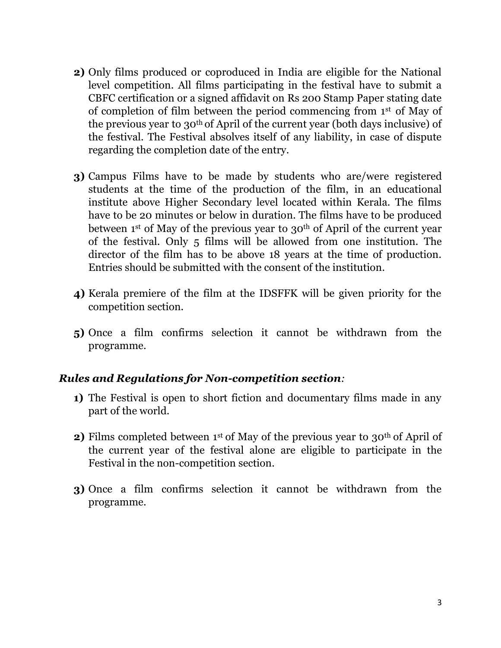- **2)** Only films produced or coproduced in India are eligible for the National level competition. All films participating in the festival have to submit a CBFC certification or a signed affidavit on Rs 200 Stamp Paper stating date of completion of film between the period commencing from 1st of May of the previous year to 30th of April of the current year (both days inclusive) of the festival. The Festival absolves itself of any liability, in case of dispute regarding the completion date of the entry.
- **3)** Campus Films have to be made by students who are/were registered students at the time of the production of the film, in an educational institute above Higher Secondary level located within Kerala. The films have to be 20 minutes or below in duration. The films have to be produced between 1<sup>st</sup> of May of the previous year to 30<sup>th</sup> of April of the current year of the festival. Only 5 films will be allowed from one institution. The director of the film has to be above 18 years at the time of production. Entries should be submitted with the consent of the institution.
- **4)** Kerala premiere of the film at the IDSFFK will be given priority for the competition section.
- **5)** Once a film confirms selection it cannot be withdrawn from the programme.

#### *Rules and Regulations for Non-competition section:*

- **1)** The Festival is open to short fiction and documentary films made in any part of the world.
- **2)** Films completed between 1<sup>st</sup> of May of the previous year to 30<sup>th</sup> of April of the current year of the festival alone are eligible to participate in the Festival in the non-competition section.
- **3)** Once a film confirms selection it cannot be withdrawn from the programme.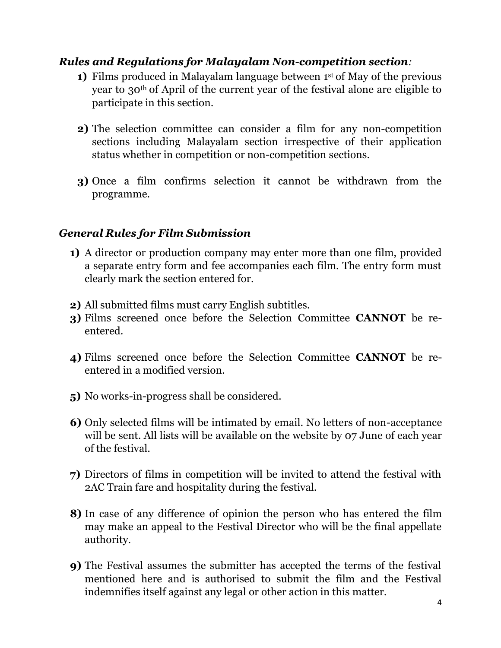#### *Rules and Regulations for Malayalam Non-competition section:*

- **1)** Films produced in Malayalam language between 1<sup>st</sup> of May of the previous year to 30th of April of the current year of the festival alone are eligible to participate in this section.
- **2)** The selection committee can consider a film for any non-competition sections including Malayalam section irrespective of their application status whether in competition or non-competition sections.
- **3)** Once a film confirms selection it cannot be withdrawn from the programme.

#### *General Rules for Film Submission*

- **1)** A director or production company may enter more than one film, provided a separate entry form and fee accompanies each film. The entry form must clearly mark the section entered for.
- **2)** All submitted films must carry English subtitles.
- **3)** Films screened once before the Selection Committee **CANNOT** be reentered.
- **4)** Films screened once before the Selection Committee **CANNOT** be reentered in a modified version.
- **5)** No works-in-progress shall be considered.
- **6)** Only selected films will be intimated by email. No letters of non-acceptance will be sent. All lists will be available on the website by 07 June of each year of the festival.
- **7)** Directors of films in competition will be invited to attend the festival with 2AC Train fare and hospitality during the festival.
- **8)** In case of any difference of opinion the person who has entered the film may make an appeal to the Festival Director who will be the final appellate authority.
- **9)** The Festival assumes the submitter has accepted the terms of the festival mentioned here and is authorised to submit the film and the Festival indemnifies itself against any legal or other action in this matter.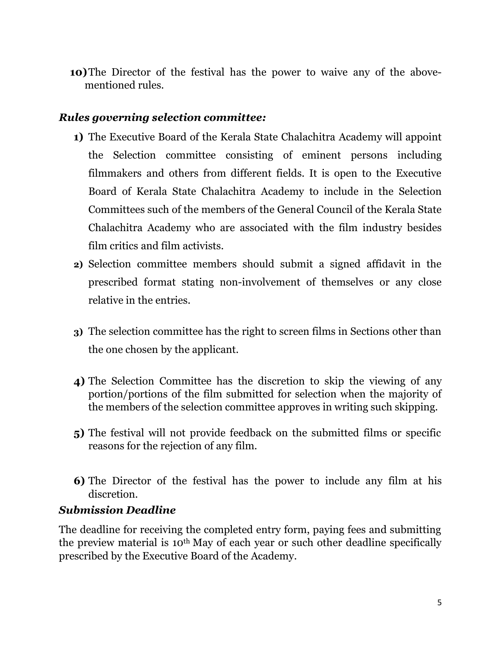**10)**The Director of the festival has the power to waive any of the abovementioned rules.

#### *Rules governing selection committee:*

- **1)** The Executive Board of the Kerala State Chalachitra Academy will appoint the Selection committee consisting of eminent persons including filmmakers and others from different fields. It is open to the Executive Board of Kerala State Chalachitra Academy to include in the Selection Committees such of the members of the General Council of the Kerala State Chalachitra Academy who are associated with the film industry besides film critics and film activists.
- **2)** Selection committee members should submit a signed affidavit in the prescribed format stating non-involvement of themselves or any close relative in the entries.
- **3)** The selection committee has the right to screen films in Sections other than the one chosen by the applicant.
- **4)** The Selection Committee has the discretion to skip the viewing of any portion/portions of the film submitted for selection when the majority of the members of the selection committee approves in writing such skipping.
- **5)** The festival will not provide feedback on the submitted films or specific reasons for the rejection of any film.
- **6)** The Director of the festival has the power to include any film at his discretion.

#### *Submission Deadline*

The deadline for receiving the completed entry form, paying fees and submitting the preview material is 10th May of each year or such other deadline specifically prescribed by the Executive Board of the Academy.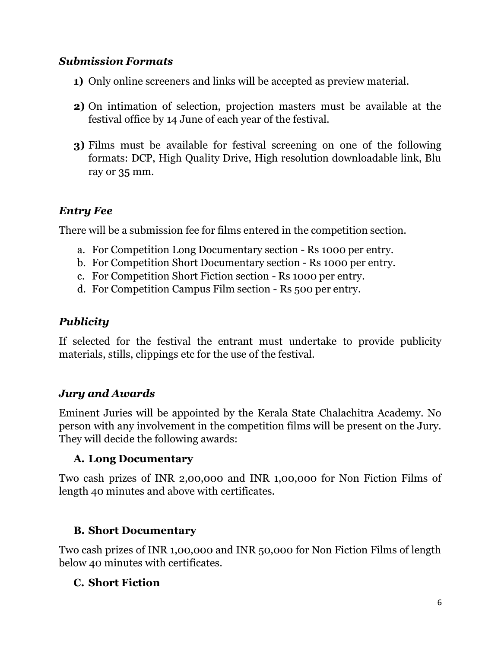#### *Submission Formats*

- **1)** Only online screeners and links will be accepted as preview material.
- **2)** On intimation of selection, projection masters must be available at the festival office by 14 June of each year of the festival.
- **3)** Films must be available for festival screening on one of the following formats: DCP, High Quality Drive, High resolution downloadable link, Blu ray or 35 mm.

## *Entry Fee*

There will be a submission fee for films entered in the competition section.

- a. For Competition Long Documentary section Rs 1000 per entry.
- b. For Competition Short Documentary section Rs 1000 per entry.
- c. For Competition Short Fiction section Rs 1000 per entry.
- d. For Competition Campus Film section Rs 500 per entry.

## *Publicity*

If selected for the festival the entrant must undertake to provide publicity materials, stills, clippings etc for the use of the festival.

### *Jury and Awards*

Eminent Juries will be appointed by the Kerala State Chalachitra Academy. No person with any involvement in the competition films will be present on the Jury. They will decide the following awards:

### **A. Long Documentary**

Two cash prizes of INR 2,00,000 and INR 1,00,000 for Non Fiction Films of length 40 minutes and above with certificates.

### **B. Short Documentary**

Two cash prizes of INR 1,00,000 and INR 50,000 for Non Fiction Films of length below 40 minutes with certificates.

### **C. Short Fiction**